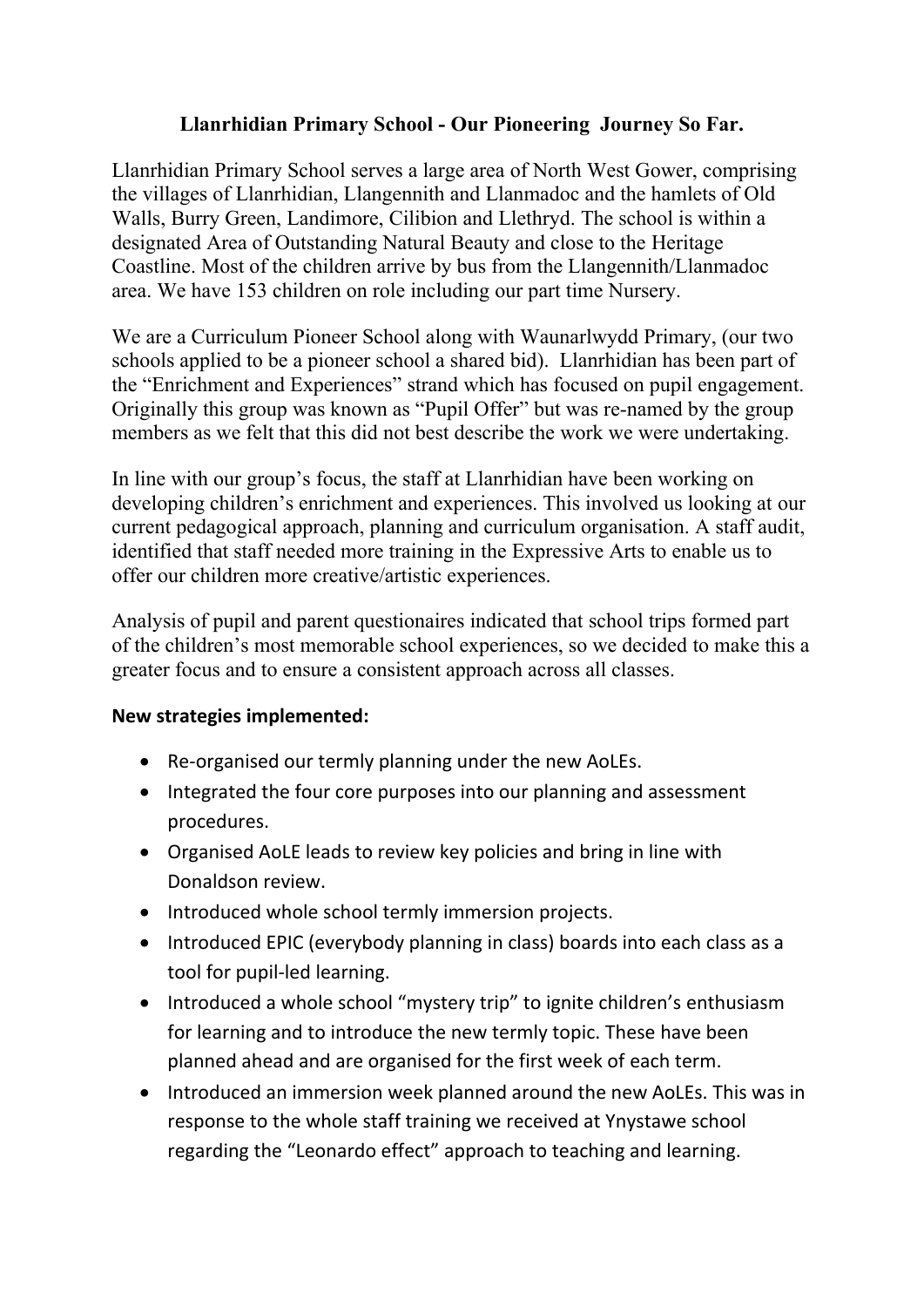## **Llanrhidian Primary School - Our Pioneering Journey So Far.**

Llanrhidian Primary School serves a large area of North West Gower, comprising the villages of Llanrhidian, Llangennith and Llanmadoc and the hamlets of Old Walls, Burry Green, Landimore, Cilibion and Llethryd. The school is within a designated Area of Outstanding Natural Beauty and close to the Heritage Coastline. Most of the children arrive by bus from the Llangennith/Llanmadoc area. We have 153 children on role including our part time Nursery.

We are a Curriculum Pioneer School along with Waunarlwydd Primary, (our two schools applied to be a pioneer school a shared bid). Llanrhidian has been part of the "Enrichment and Experiences" strand which has focused on pupil engagement. Originally this group was known as "Pupil Offer" but was re-named by the group members as we felt that this did not best describe the work we were undertaking.

In line with our group's focus, the staff at Llanrhidian have been working on developing children's enrichment and experiences. This involved us looking at our current pedagogical approach, planning and curriculum organisation. A staff audit, identified that staff needed more training in the Expressive Arts to enable us to offer our children more creative/artistic experiences.

Analysis of pupil and parent questionaires indicated that school trips formed part of the children's most memorable school experiences, so we decided to make this a greater focus and to ensure a consistent approach across all classes.

## **New strategies implemented:**

- Re-organised our termly planning under the new AoLEs.
- Integrated the four core purposes into our planning and assessment procedures.
- Organised AoLE leads to review key policies and bring in line with Donaldson review.
- Introduced whole school termly immersion projects.
- Introduced EPIC (everybody planning in class) boards into each class as a tool for pupil-led learning.
- Introduced a whole school "mystery trip" to ignite children's enthusiasm for learning and to introduce the new termly topic. These have been planned ahead and are organised for the first week of each term.
- Introduced an immersion week planned around the new AoLEs. This was in response to the whole staff training we received at Ynystawe school regarding the "Leonardo effect" approach to teaching and learning.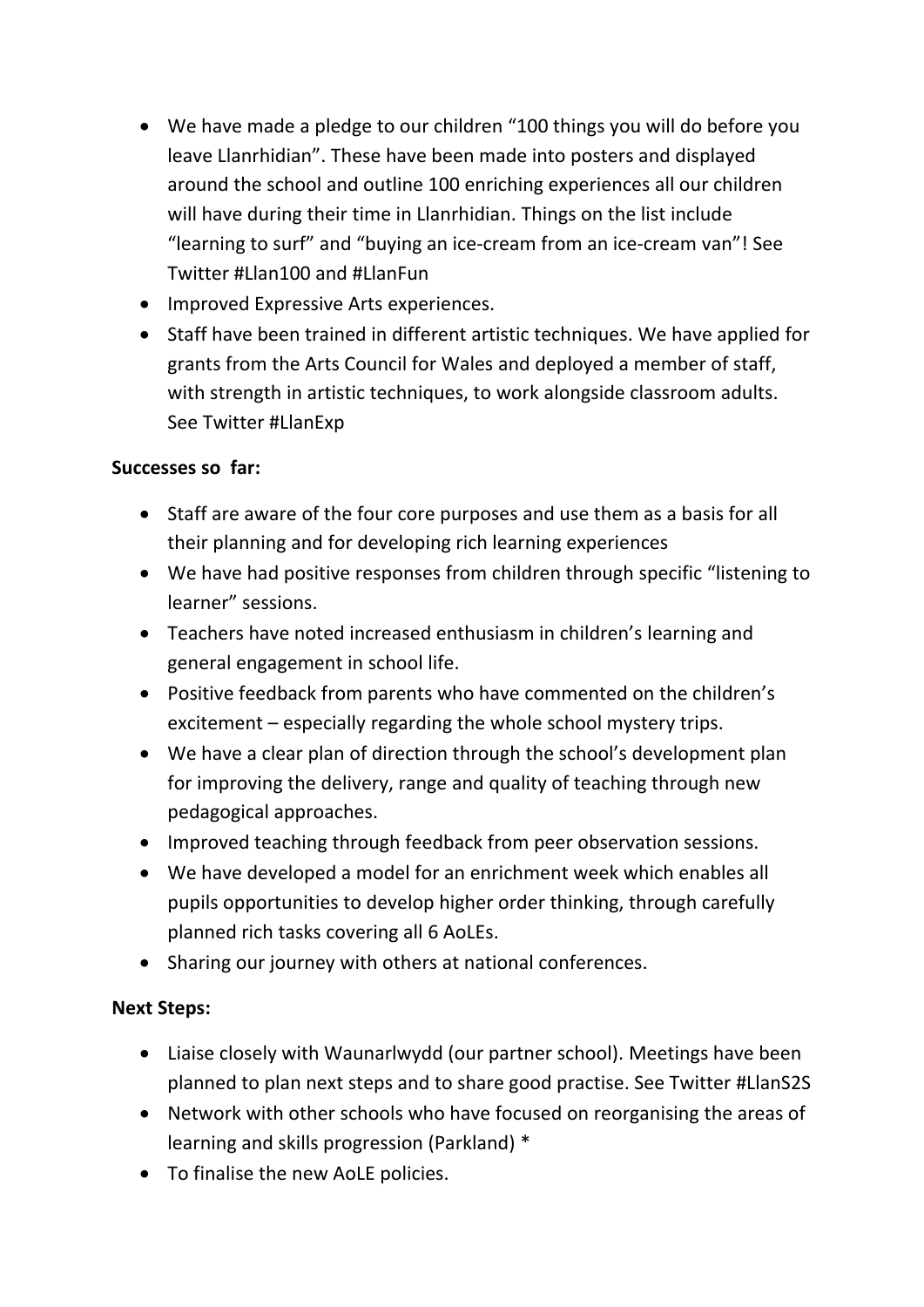- We have made a pledge to our children "100 things you will do before you leave Llanrhidian". These have been made into posters and displayed around the school and outline 100 enriching experiences all our children will have during their time in Llanrhidian. Things on the list include "learning to surf" and "buying an ice-cream from an ice-cream van"! See Twitter #Llan100 and #LlanFun
- Improved Expressive Arts experiences.
- Staff have been trained in different artistic techniques. We have applied for grants from the Arts Council for Wales and deployed a member of staff, with strength in artistic techniques, to work alongside classroom adults. See Twitter #LlanExp

## **Successes so far:**

- Staff are aware of the four core purposes and use them as a basis for all their planning and for developing rich learning experiences
- We have had positive responses from children through specific "listening to learner" sessions.
- Teachers have noted increased enthusiasm in children's learning and general engagement in school life.
- Positive feedback from parents who have commented on the children's excitement – especially regarding the whole school mystery trips.
- We have a clear plan of direction through the school's development plan for improving the delivery, range and quality of teaching through new pedagogical approaches.
- Improved teaching through feedback from peer observation sessions.
- We have developed a model for an enrichment week which enables all pupils opportunities to develop higher order thinking, through carefully planned rich tasks covering all 6 AoLEs.
- Sharing our journey with others at national conferences.

# **Next Steps:**

- Liaise closely with Waunarlwydd (our partner school). Meetings have been planned to plan next steps and to share good practise. See Twitter #LlanS2S
- Network with other schools who have focused on reorganising the areas of learning and skills progression (Parkland) \*
- To finalise the new AoLE policies.